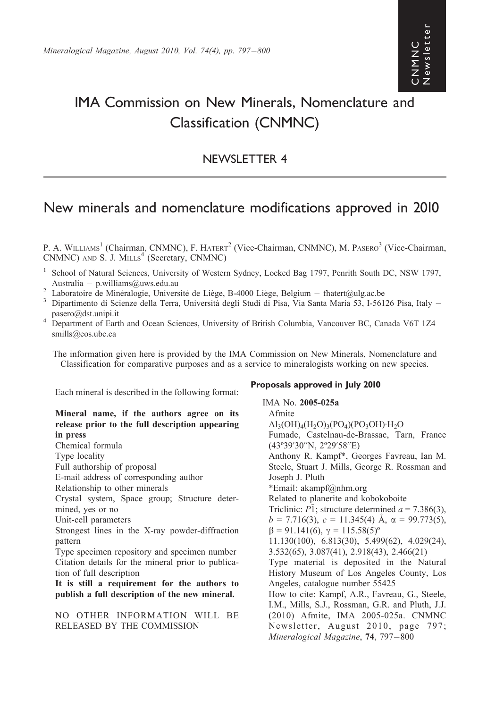# IMA Commission on New Minerals, Nomenclature and Classification (CNMNC)

### NEWSLETTER 4

## New minerals and nomenclature modifications approved in 2010

P. A. WILLIAMS<sup>1</sup> (Chairman, CNMNC), F. HATERT<sup>2</sup> (Vice-Chairman, CNMNC), M. PASERO<sup>3</sup> (Vice-Chairman,  $CNMNC$ ) AND S. J. MILLS<sup>4</sup> (Secretary, CNMNC)

- <sup>1</sup> School of Natural Sciences, University of Western Sydney, Locked Bag 1797, Penrith South DC, NSW 1797, Australia — p.williams@uws.edu.au<br>
<sup>2</sup> Laboratoire de Minéralogie, Université de Liège, B-4000 Liège, Belgium — fhatert@ulg.ac.be<br>
<sup>3</sup> Dipartimento di Scienze della Terra, Università degli Studi di Pisa, Via Santa Maria 53
- 
- pasero@dst.unipi.it<br><sup>4</sup> Department of Earth and Ocean Sciences, University of British Columbia, Vancouver BC, Canada V6T 1Z4 –
- smills@eos.ubc.ca

The information given here is provided by the IMA Commission on New Minerals, Nomenclature and Classification for comparative purposes and as a service to mineralogists working on new species.

Each mineral is described in the following format:

#### Mineral name, if the authors agree on its release prior to the full description appearing in press

Chemical formula

Type locality

Full authorship of proposal

E-mail address of corresponding author

Relationship to other minerals

Crystal system, Space group; Structure determined, yes or no

Unit-cell parameters

Strongest lines in the X-ray powder-diffraction pattern

Type specimen repository and specimen number Citation details for the mineral prior to publication of full description

It is still a requirement for the authors to publish a full description of the new mineral.

NO OTHER INFORMATION WILL BE RELEASED BY THE COMMISSION

#### Proposals approved in July 2010

IMA No. 2005-025a Afmite  $\text{Al}_3(\text{OH})_4(\text{H}_2\text{O})_3(\text{PO}_4)(\text{PO}_3\text{OH})\cdot\text{H}_2\text{O}$ Fumade, Castelnau-de-Brassac, Tarn, France (43º39'30''N, 2º29'58''E) Anthony R. Kampf\*, Georges Favreau, Ian M. Steele, Stuart J. Mills, George R. Rossman and Joseph J. Pluth \*Email: akampf@nhm.org Related to planerite and kobokoboite Triclinic:  $P\bar{1}$ ; structure determined  $a = 7.386(3)$ ,  $b = 7.716(3)$ ,  $c = 11.345(4)$  Å,  $\alpha = 99.773(5)$ ,  $\beta = 91.141(6)$ ,  $\gamma = 115.58(5)$ <sup>o</sup> 11.130(100), 6.813(30), 5.499(62), 4.029(24), 3.532(65), 3.087(41), 2.918(43), 2.466(21) Type material is deposited in the Natural History Museum of Los Angeles County, Los Angeles, catalogue number 55425 How to cite: Kampf, A.R., Favreau, G., Steele, I.M., Mills, S.J., Rossman, G.R. and Pluth, J.J. (2010) Afmite, IMA 2005-025a. CNMNC Newsletter, August 2010, page 797; Mineralogical Magazine,  $74, 797-800$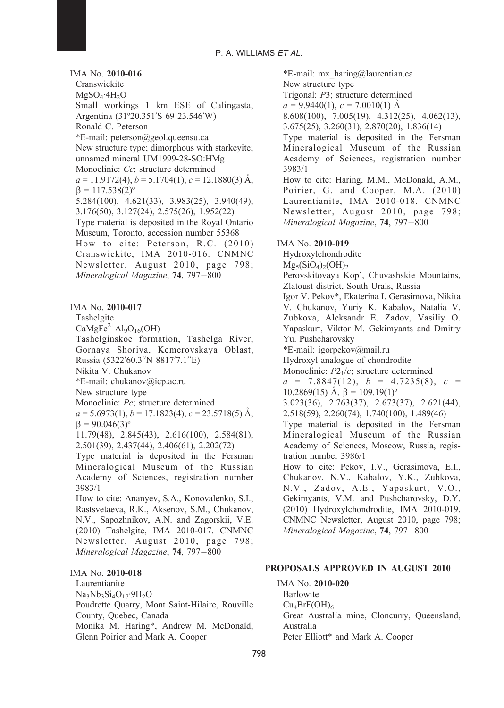IMA No. 2010-016 Cranswickite  $MgSO_4$ ·4H<sub>2</sub>O Small workings 1 km ESE of Calingasta, Argentina (31º20.351'S 69 23.546'W) Ronald C. Peterson \*E-mail: peterson@geol.queensu.ca New structure type; dimorphous with starkeyite; unnamed mineral UM1999-28-SO:HMg Monoclinic: Cc; structure determined  $a = 11.9172(4)$ ,  $b = 5.1704(1)$ ,  $c = 12.1880(3)$  Å,  $\beta = 117.538(2)^{\circ}$ 5.284(100), 4.621(33), 3.983(25), 3.940(49), 3.176(50), 3.127(24), 2.575(26), 1.952(22) Type material is deposited in the Royal Ontario Museum, Toronto, accession number 55368 How to cite: Peterson, R.C. (2010) Cranswickite, IMA 2010-016. CNMNC Newsletter, August 2010, page 798; Mineralogical Magazine,  $74, 797-800$ 

IMA No. 2010-017

Tashelgite

 $CaMgFe<sup>2+</sup>Al<sub>9</sub>O<sub>16</sub>(OH)$ 

Tashelginskoe formation, Tashelga River, Gornaya Shoriya, Kemerovskaya Oblast, Russia (5322'60.3''N 8817'7.1''E)

Nikita V. Chukanov

\*E-mail: chukanov@icp.ac.ru

New structure type

Monoclinic: Pc; structure determined

 $a = 5.6973(1), b = 17.1823(4), c = 23.5718(5)$  Å,  $\beta = 90.046(3)^{\circ}$ 

11.79(48), 2.845(43), 2.616(100), 2.584(81), 2.501(39), 2.437(44), 2.406(61), 2.202(72)

Type material is deposited in the Fersman Mineralogical Museum of the Russian Academy of Sciences, registration number 3983/1

How to cite: Ananyev, S.A., Konovalenko, S.I., Rastsvetaeva, R.K., Aksenov, S.M., Chukanov, N.V., Sapozhnikov, A.N. and Zagorskii, V.E. (2010) Tashelgite, IMA 2010-017. CNMNC Newsletter, August 2010, page 798; Mineralogical Magazine, 74, 797-800

#### IMA No. 2010-018

Laurentianite

 $Na<sub>3</sub>Nb<sub>3</sub>Si<sub>4</sub>O<sub>17</sub>·9H<sub>2</sub>O$ 

Poudrette Quarry, Mont Saint-Hilaire, Rouville County, Quebec, Canada

Monika M. Haring\*, Andrew M. McDonald, Glenn Poirier and Mark A. Cooper

\*E-mail: mx\_haring@laurentian.ca New structure type Trigonal: P3; structure determined  $a = 9.9440(1), c = 7.0010(1)$  Å 8.608(100), 7.005(19), 4.312(25), 4.062(13), 3.675(25), 3.260(31), 2.870(20), 1.836(14) Type material is deposited in the Fersman Mineralogical Museum of the Russian Academy of Sciences, registration number 3983/1 How to cite: Haring, M.M., McDonald, A.M., Poirier, G. and Cooper, M.A. (2010) Laurentianite, IMA 2010-018. CNMNC Newsletter, August 2010, page 798; Mineralogical Magazine, 74, 797-800 IMA No. 2010-019 Hydroxylchondrodite  $Mg_5(SiO_4)_2(OH)_2$ Perovskitovaya Kop', Chuvashskie Mountains, Zlatoust district, South Urals, Russia Igor V. Pekov\*, Ekaterina I. Gerasimova, Nikita V. Chukanov, Yuriy K. Kabalov, Natalia V. Zubkova, Aleksandr E. Zadov, Vasiliy O. Yapaskurt, Viktor M. Gekimyants and Dmitry Yu. Pushcharovsky \*E-mail: igorpekov@mail.ru Hydroxyl analogue of chondrodite Monoclinic:  $P2<sub>1</sub>/c$ ; structure determined  $a = 7.8847(12), b = 4.7235(8), c =$ 10.2869(15)  $\AA$ ,  $\beta$  = 109.19(1)<sup>o</sup> 3.023(36), 2.763(37), 2.673(37), 2.621(44), 2.518(59), 2.260(74), 1.740(100), 1.489(46) Type material is deposited in the Fersman Mineralogical Museum of the Russian Academy of Sciences, Moscow, Russia, registration number 3986/1 How to cite: Pekov, I.V., Gerasimova, E.I., Chukanov, N.V., Kabalov, Y.K., Zubkova, N.V., Zadov, A.E., Yapaskurt, V.O., Gekimyants, V.M. and Pushcharovsky, D.Y. (2010) Hydroxylchondrodite, IMA 2010-019. CNMNC Newsletter, August 2010, page 798; Mineralogical Magazine,  $74, 797-800$ 

#### PROPOSALS APPROVED IN AUGUST 2010

IMA No. 2010-020 Barlowite  $Cu<sub>4</sub>BrF(OH)<sub>6</sub>$ Great Australia mine, Cloncurry, Queensland, Australia Peter Elliott\* and Mark A. Cooper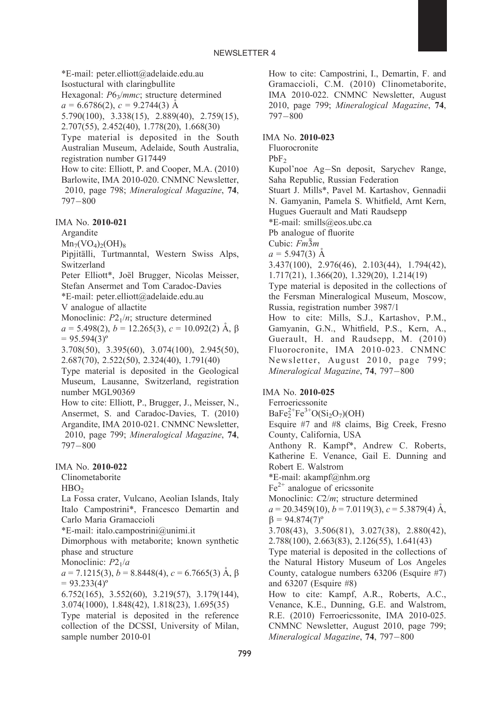\*E-mail: peter.elliott@adelaide.edu.au Isostuctural with claringbullite Hexagonal: P6<sub>3</sub>/mmc; structure determined  $a = 6.6786(2), c = 9.2744(3)$  Å 5.790(100), 3.338(15), 2.889(40), 2.759(15), 2.707(55), 2.452(40), 1.778(20), 1.668(30) Type material is deposited in the South Australian Museum, Adelaide, South Australia, registration number G17449 How to cite: Elliott, P. and Cooper, M.A. (2010) Barlowite, IMA 2010-020. CNMNC Newsletter, 2010, page 798; Mineralogical Magazine, 74,  $797 - 800$ IMA No. 2010-021 Argandite  $Mn_7(VO_4)_2(OH)_8$ Pipjitälli, Turtmanntal, Western Swiss Alps, Switzerland

Peter Elliott\*, Joël Brugger, Nicolas Meisser, Stefan Ansermet and Tom Caradoc-Davies

\*E-mail: peter.elliott@adelaide.edu.au

V analogue of allactite

Monoclinic:  $P2_1/n$ ; structure determined  $a = 5.498(2), b = 12.265(3), c = 10.092(2)$  Å,  $\beta$  $= 95.594(3)^{o}$ 

3.708(50), 3.395(60), 3.074(100), 2.945(50), 2.687(70), 2.522(50), 2.324(40), 1.791(40)

Type material is deposited in the Geological Museum, Lausanne, Switzerland, registration number MGL90369

How to cite: Elliott, P., Brugger, J., Meisser, N., Ansermet, S. and Caradoc-Davies, T. (2010) Argandite, IMA 2010-021. CNMNC Newsletter, 2010, page 799; Mineralogical Magazine, 74, 797-800

#### IMA No. 2010-022

Clinometaborite

 $HBO<sub>2</sub>$ 

La Fossa crater, Vulcano, Aeolian Islands, Italy Italo Campostrini\*, Francesco Demartin and Carlo Maria Gramaccioli

\*E-mail: italo.campostrini@unimi.it

Dimorphous with metaborite; known synthetic phase and structure

Monoclinic:  $P2_1/a$ 

 $a = 7.1215(3), b = 8.8448(4), c = 6.7665(3)$  Å,  $\beta$  $= 93.233(4)^{o}$ 

6.752(165), 3.552(60), 3.219(57), 3.179(144), 3.074(1000), 1.848(42), 1.818(23), 1.695(35) Type material is deposited in the reference

collection of the DCSSI, University of Milan, sample number 2010-01

How to cite: Campostrini, I., Demartin, F. and Gramaccioli, C.M. (2010) Clinometaborite, IMA 2010-022. CNMNC Newsletter, August 2010, page 799; Mineralogical Magazine, 74,  $797 - 800$ 

#### IMA No. 2010-023

Fluorocronite

 $PbF<sub>2</sub>$ 

Kupol'noe Ag-Sn deposit, Sarychev Range, Saha Republic, Russian Federation

Stuart J. Mills\*, Pavel M. Kartashov, Gennadii N. Gamyanin, Pamela S. Whitfield, Arnt Kern,

Hugues Guerault and Mati Raudsepp \*E-mail: smills@eos.ubc.ca

Pb analogue of fluorite

Cubic:  $Fm\overline{3}m$ 

 $a = 5.947(3)$  Å 3.437(100), 2.976(46), 2.103(44), 1.794(42),

1.717(21), 1.366(20), 1.329(20), 1.214(19)

Type material is deposited in the collections of the Fersman Mineralogical Museum, Moscow, Russia, registration number 3987/1

How to cite: Mills, S.J., Kartashov, P.M., Gamyanin, G.N., Whitfield, P.S., Kern, A., Guerault, H. and Raudsepp, M. (2010) Fluorocronite, IMA 2010-023. CNMNC Newsletter, August 2010, page 799; Mineralogical Magazine,  $74, 797-800$ 

#### IMA No. 2010-025

Ferroericssonite

 $BaFe<sub>2</sub><sup>2+</sup>Fe<sup>3+</sup>O(Si<sub>2</sub>O<sub>7</sub>)(OH)$ 

Esquire #7 and #8 claims, Big Creek, Fresno County, California, USA

Anthony R. Kampf\*, Andrew C. Roberts, Katherine E. Venance, Gail E. Dunning and Robert E. Walstrom

\*E-mail: akampf@nhm.org

 $Fe<sup>2+</sup>$  analogue of ericssonite

Monoclinic: C2/m; structure determined

 $a = 20.3459(10), b = 7.0119(3), c = 5.3879(4)$  Å,  $\beta = 94.874(7)^{\circ}$ 

3.708(43), 3.506(81), 3.027(38), 2.880(42), 2.788(100), 2.663(83), 2.126(55), 1.641(43)

Type material is deposited in the collections of the Natural History Museum of Los Angeles County, catalogue numbers 63206 (Esquire #7) and 63207 (Esquire #8)

How to cite: Kampf, A.R., Roberts, A.C., Venance, K.E., Dunning, G.E. and Walstrom, R.E. (2010) Ferroericssonite, IMA 2010-025. CNMNC Newsletter, August 2010, page 799; Mineralogical Magazine,  $74, 797-800$